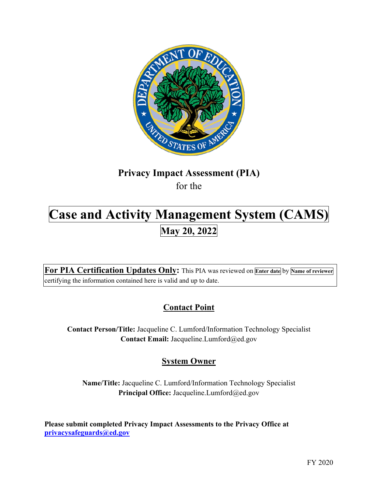

# **Privacy Impact Assessment (PIA)**  for the

# **Case and Activity Management System (CAMS)** May 20, 2022

 **For PIA Certification Updates Only:** This PIA was reviewed on **Enter date** by **Name of reviewer**  certifying the information contained here is valid and up to date.

# **Contact Point**

**Contact Person/Title:** Jacqueline C. Lumford/Information Technology Specialist **Contact Email:** [Jacqueline.Lumford@ed.gov](mailto:Jacqueline.Lumford@ed.gov) 

## **System Owner**

**Name/Title:** Jacqueline C. Lumford/Information Technology Specialist Principal Office: [Jacqueline.Lumford@ed.gov](mailto:Jacqueline.Lumford@ed.gov)

 **Please submit completed Privacy Impact Assessments to the Privacy Office at [privacysafeguards@ed.gov](mailto:privacysafeguards@ed.gov)**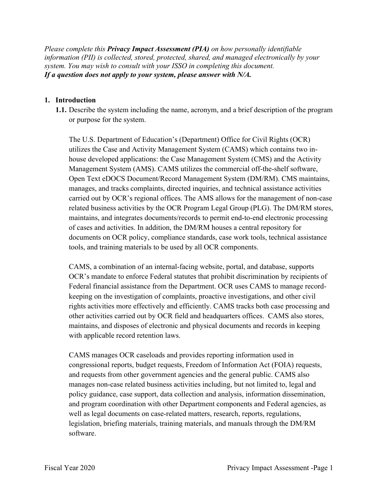*Please complete this Privacy Impact Assessment (PIA) on how personally identifiable information (PII) is collected, stored, protected, shared, and managed electronically by your system. You may wish to consult with your ISSO in completing this document. If a question does not apply to your system, please answer with N/A.* 

### **1. Introduction**

or purpose for the system. **1.1.** Describe the system including the name, acronym, and a brief description of the program

The U.S. Department of Education's (Department) Office for Civil Rights (OCR) utilizes the Case and Activity Management System (CAMS) which contains two inhouse developed applications: the Case Management System (CMS) and the Activity Management System (AMS). CAMS utilizes the commercial off-the-shelf software, Open Text eDOCS Document/Record Management System (DM/RM). CMS maintains, manages, and tracks complaints, directed inquiries, and technical assistance activities carried out by OCR's regional offices. The AMS allows for the management of non-case related business activities by the OCR Program Legal Group (PLG). The DM/RM stores, maintains, and integrates documents/records to permit end-to-end electronic processing of cases and activities. In addition, the DM/RM houses a central repository for documents on OCR policy, compliance standards, case work tools, technical assistance tools, and training materials to be used by all OCR components.

 rights activities more effectively and efficiently. CAMS tracks both case processing and maintains, and disposes of electronic and physical documents and records in keeping with applicable record retention laws. CAMS, a combination of an internal-facing website, portal, and database, supports OCR's mandate to enforce Federal statutes that prohibit discrimination by recipients of Federal financial assistance from the Department. OCR uses CAMS to manage recordkeeping on the investigation of complaints, proactive investigations, and other civil other activities carried out by OCR field and headquarters offices. CAMS also stores,

 and requests from other government agencies and the general public. CAMS also legislation, briefing materials, training materials, and manuals through the DM/RM CAMS manages OCR caseloads and provides reporting information used in congressional reports, budget requests, Freedom of Information Act (FOIA) requests, manages non-case related business activities including, but not limited to, legal and policy guidance, case support, data collection and analysis, information dissemination, and program coordination with other Department components and Federal agencies, as well as legal documents on case-related matters, research, reports, regulations, software.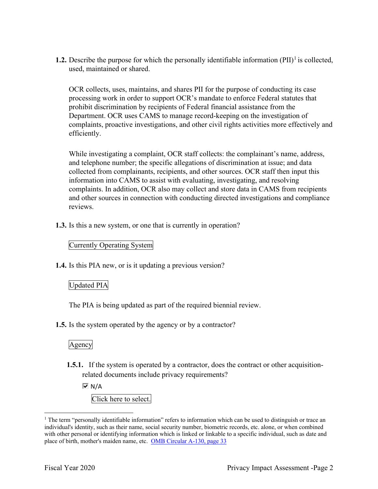**1.2.** Describe the purpose for which the personally identifiable information  $(PII)^{1}$  is collected, used, maintained or shared.

 processing work in order to support OCR's mandate to enforce Federal statutes that complaints, proactive investigations, and other civil rights activities more effectively and OCR collects, uses, maintains, and shares PII for the purpose of conducting its case prohibit discrimination by recipients of Federal financial assistance from the Department. OCR uses CAMS to manage record-keeping on the investigation of efficiently.

While investigating a complaint, OCR staff collects: the complainant's name, address, and telephone number; the specific allegations of discrimination at issue; and data collected from complainants, recipients, and other sources. OCR staff then input this information into CAMS to assist with evaluating, investigating, and resolving complaints. In addition, OCR also may collect and store data in CAMS from recipients and other sources in connection with conducting directed investigations and compliance reviews.

**1.3.** Is this a new system, or one that is currently in operation?

### Currently Operating System

**1.4.** Is this PIA new, or is it updating a previous version?

### Updated PIA

The PIA is being updated as part of the required biennial review.

**1.5.** Is the system operated by the agency or by a contractor?

Agency

**1.5.1.** If the system is operated by a contractor, does the contract or other acquisitionrelated documents include privacy requirements?

 $\overline{M}$  N/A

Click here to select.

 $1$  The term "personally identifiable information" refers to information which can be used to distinguish or trace an individual's identity, such as their name, social security number, biometric records, etc. alone, or when combined with other personal or identifying information which is linked or linkable to a specific individual, such as date and place of birth, mother's maiden name, etc. OMB Circular A-130, page 33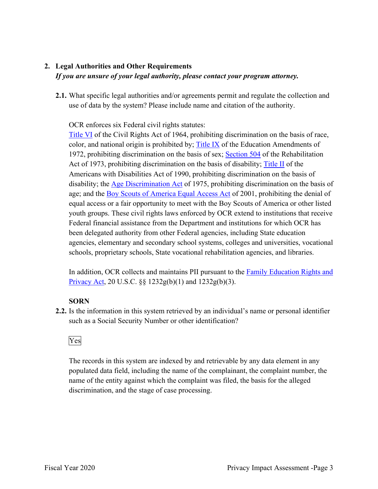### **2. Legal Authorities and Other Requirements**  *If you are unsure of your legal authority, please contact your program attorney.*

 **2.1.** What specific legal authorities and/or agreements permit and regulate the collection and use of data by the system? Please include name and citation of the authority.

OCR enforces six Federal civil rights statutes:

1972, prohibiting discrimination on the basis of sex; Section 504 of the Rehabilitation Act of 1973, prohibiting discrimination on the basis of disability; Title II of the age; and the **Boy Scouts of America Equal Access Act** of 2001, prohibiting the denial of youth groups. These civil rights laws enforced by OCR extend to institutions that receive Title VI of the Civil Rights Act of 1964, prohibiting discrimination on the basis of race, color, and national origin is prohibited by; Title IX of the Education Amendments of Americans with Disabilities Act of 1990, prohibiting discrimination on the basis of disability; the Age Discrimination Act of 1975, prohibiting discrimination on the basis of equal access or a fair opportunity to meet with the Boy Scouts of America or other listed Federal financial assistance from the Department and institutions for which OCR has been delegated authority from other Federal agencies, including State education agencies, elementary and secondary school systems, colleges and universities, vocational schools, proprietary schools, State vocational rehabilitation agencies, and libraries.

In addition, OCR collects and maintains PII pursuant to the **Family Education Rights and** Privacy Act, 20 U.S.C. §§ 1232g(b)(1) and 1232g(b)(3).

### **SORN**

 **2.2.** Is the information in this system retrieved by an individual's name or personal identifier such as a Social Security Number or other identification?<br>Ves

 The records in this system are indexed by and retrievable by any data element in any discrimination, and the stage of case processing. populated data field, including the name of the complainant, the complaint number, the name of the entity against which the complaint was filed, the basis for the alleged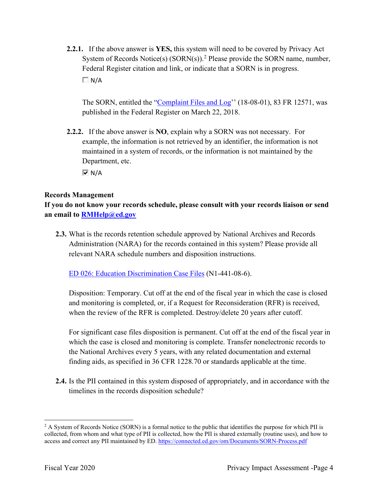**2.2.1.** If the above answer is **YES,** this system will need to be covered by Privacy Act System of Records Notice(s)  $(SORN(s))$ .<sup>2</sup> Please provide the SORN name, number, Federal Register citation and link, or indicate that a SORN is in progress.  $\Box N/A$ 

 published in the Federal Register on March 22, 2018. The SORN, entitled the "Complaint Files and Log'' (18-08-01), 83 FR 12571, was

 **2.2.2.** If the above answer is **NO**, explain why a SORN was not necessary. For Department, etc. example, the information is not retrieved by an identifier, the information is not maintained in a system of records, or the information is not maintained by the

 $\overline{M}$  N/A

### **Records Management**

 **an email to [RMHelp@ed.gov](mailto:RMHelp@ed.gov) If you do not know your records schedule, please consult with your records liaison or send** 

**2.3.** What is the records retention schedule approved by National Archives and Records Administration (NARA) for the records contained in this system? Please provide all relevant NARA schedule numbers and disposition instructions.

ED 026: Education Discrimination Case Files (N1-441-08-6).

 and monitoring is completed, or, if a Request for Reconsideration (RFR) is received, Disposition: Temporary. Cut off at the end of the fiscal year in which the case is closed when the review of the RFR is completed. Destroy/delete 20 years after cutoff.

 For significant case files disposition is permanent. Cut off at the end of the fiscal year in which the case is closed and monitoring is complete. Transfer nonelectronic records to the National Archives every 5 years, with any related documentation and external finding aids, as specified in 36 CFR 1228.70 or standards applicable at the time.

 timelines in the records disposition schedule? **2.4.** Is the PII contained in this system disposed of appropriately, and in accordance with the

 $2$  A System of Records Notice (SORN) is a formal notice to the public that identifies the purpose for which PII is collected, from whom and what type of PII is collected, how the PII is shared externally (routine uses), and how to access and correct any PII maintained by ED. <https://connected.ed.gov/om/Documents/SORN-Process.pdf>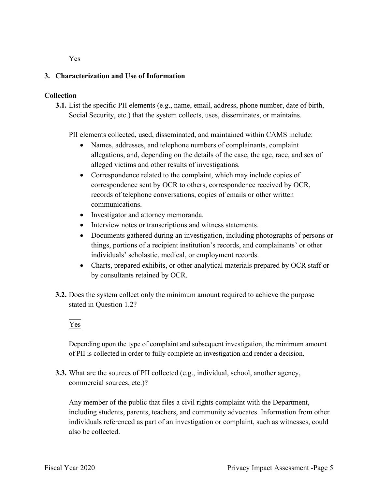Yes

### **3. Characterization and Use of Information**

### **Collection**

**3.1.** List the specific PII elements (e.g., name, email, address, phone number, date of birth, Social Security, etc.) that the system collects, uses, disseminates, or maintains.

PII elements collected, used, disseminated, and maintained within CAMS include:

- allegations, and, depending on the details of the case, the age, race, and sex of alleged victims and other results of investigations. • Names, addresses, and telephone numbers of complainants, complaint
- Correspondence related to the complaint, which may include copies of correspondence sent by OCR to others, correspondence received by OCR, records of telephone conversations, copies of emails or other written communications.
- Investigator and attorney memoranda.
- Interview notes or transcriptions and witness statements.
- Documents gathered during an investigation, including photographs of persons or things, portions of a recipient institution's records, and complainants' or other individuals' scholastic, medical, or employment records.
- Charts, prepared exhibits, or other analytical materials prepared by OCR staff or by consultants retained by OCR.
- **3.2.** Does the system collect only the minimum amount required to achieve the purpose stated in Question 1.2?<br>Yes

Depending upon the type of complaint and subsequent investigation, the minimum amount of PII is collected in order to fully complete an investigation and render a decision.

**3.3.** What are the sources of PII collected (e.g., individual, school, another agency, commercial sources, etc.)?

Any member of the public that files a civil rights complaint with the Department, including students, parents, teachers, and community advocates. Information from other individuals referenced as part of an investigation or complaint, such as witnesses, could also be collected.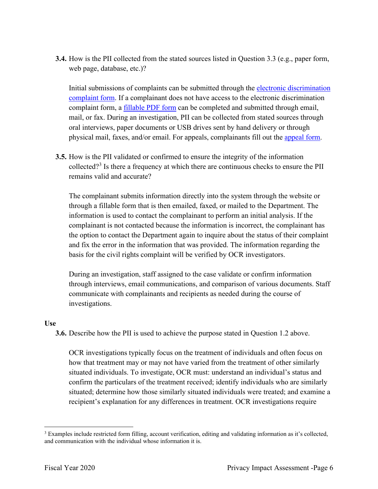**3.4.** How is the PII collected from the stated sources listed in Question 3.3 (e.g., paper form, web page, database, etc.)?

complaint form, a **fillable PDF** form can be completed and submitted through email, physical mail, faxes, and/or email. For appeals, complainants fill out the **appeal form**. Initial submissions of complaints can be submitted through the electronic discrimination complaint form. If a complainant does not have access to the electronic discrimination mail, or fax. During an investigation, PII can be collected from stated sources through oral interviews, paper documents or USB drives sent by hand delivery or through

**3.5.** How is the PII validated or confirmed to ensure the integrity of the information collected?<sup>3</sup> Is there a frequency at which there are continuous checks to ensure the PII remains valid and accurate?

 The complainant submits information directly into the system through the website or through a fillable form that is then emailed, faxed, or mailed to the Department. The information is used to contact the complainant to perform an initial analysis. If the and fix the error in the information that was provided. The information regarding the complainant is not contacted because the information is incorrect, the complainant has the option to contact the Department again to inquire about the status of their complaint basis for the civil rights complaint will be verified by OCR investigators.

During an investigation, staff assigned to the case validate or confirm information through interviews, email communications, and comparison of various documents. Staff communicate with complainants and recipients as needed during the course of investigations.

### **Use**

**3.6.** Describe how the PII is used to achieve the purpose stated in Question 1.2 above.

OCR investigations typically focus on the treatment of individuals and often focus on how that treatment may or may not have varied from the treatment of other similarly situated individuals. To investigate, OCR must: understand an individual's status and confirm the particulars of the treatment received; identify individuals who are similarly situated; determine how those similarly situated individuals were treated; and examine a recipient's explanation for any differences in treatment. OCR investigations require

 $3$  Examples include restricted form filling, account verification, editing and validating information as it's collected, and communication with the individual whose information it is.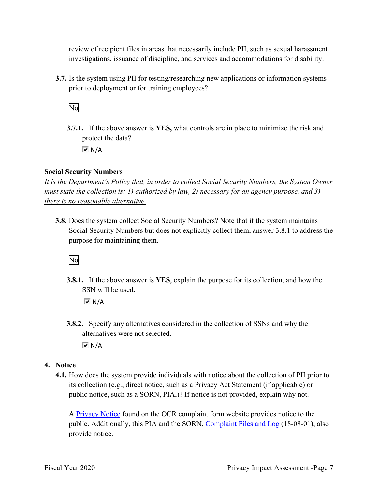review of recipient files in areas that necessarily include PII, such as sexual harassment investigations, issuance of discipline, and services and accommodations for disability.

prior to deployment or for training employees?<br>No **3.7.** Is the system using PII for testing/researching new applications or information systems

 **3.7.1.** If the above answer is **YES,** what controls are in place to minimize the risk and protect the data?  $\overline{M}$  N/A

**Social Security Numbers** 

*It is the Department's Policy that, in order to collect Social Security Numbers, the System Owner must state the collection is: 1) authorized by law, 2) necessary for an agency purpose, and 3) there is no reasonable alternative.* 

 **3.8.** Does the system collect Social Security Numbers? Note that if the system maintains Social Security Numbers but does not explicitly collect them, answer 3.8.1 to address the purpose for maintaining them.

No

**3.8.1.** If the above answer is **YES**, explain the purpose for its collection, and how the SSN will be used.

N/A

- **3.8.2.** Specify any alternatives considered in the collection of SSNs and why the alternatives were not selected.  $\overline{M}$  N/A
- **4. Notice** 
	- its collection (e.g., direct notice, such as a Privacy Act Statement (if applicable) or **4.1.** How does the system provide individuals with notice about the collection of PII prior to public notice, such as a SORN, PIA,)? If notice is not provided, explain why not.

A **Privacy Notice** found on the OCR complaint form website provides notice to the public. Additionally, this PIA and the SORN, Complaint Files and Log (18-08-01), also provide notice.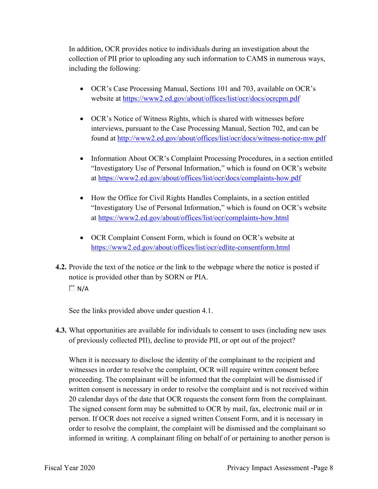including the following: In addition, OCR provides notice to individuals during an investigation about the collection of PII prior to uploading any such information to CAMS in numerous ways,

- OCR's Case Processing Manual, Sections 101 and 703, available on OCR's website at <https://www2.ed.gov/about/offices/list/ocr/docs/ocrcpm.pdf>
- OCR's Notice of Witness Rights, which is shared with witnesses before interviews, pursuant to the Case Processing Manual, Section 702, and can be found at<http://www2.ed.gov/about/offices/list/ocr/docs/witness-notice-mw.pdf>
- Information About OCR's Complaint Processing Procedures, in a section entitled "Investigatory Use of Personal Information," which is found on OCR's website at<https://www2.ed.gov/about/offices/list/ocr/docs/complaints-how.pdf>
- How the Office for Civil Rights Handles Complaints, in a section entitled "Investigatory Use of Personal Information," which is found on OCR's website at<https://www2.ed.gov/about/offices/list/ocr/complaints-how.html>
- • OCR Complaint Consent Form, which is found on OCR's website at <https://www2.ed.gov/about/offices/list/ocr/edlite-consentform.html>
- **4.2.** Provide the text of the notice or the link to the webpage where the notice is posted if notice is provided other than by SORN or PIA.
	- $\Box N/A$

See the links provided above under question 4.1.

**4.3.** What opportunities are available for individuals to consent to uses (including new uses of previously collected PII), decline to provide PII, or opt out of the project?

 When it is necessary to disclose the identity of the complainant to the recipient and witnesses in order to resolve the complaint, OCR will require written consent before proceeding. The complainant will be informed that the complaint will be dismissed if written consent is necessary in order to resolve the complaint and is not received within person. If OCR does not receive a signed written Consent Form, and it is necessary in order to resolve the complaint, the complaint will be dismissed and the complainant so 20 calendar days of the date that OCR requests the consent form from the complainant. The signed consent form may be submitted to OCR by mail, fax, electronic mail or in informed in writing. A complainant filing on behalf of or pertaining to another person is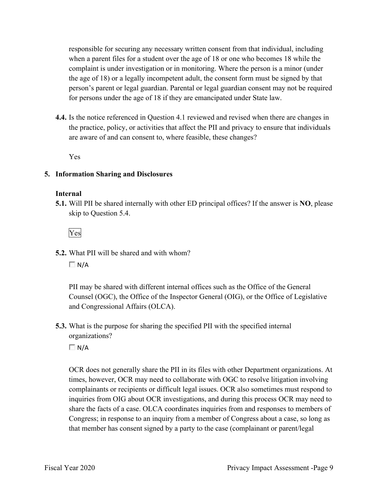responsible for securing any necessary written consent from that individual, including when a parent files for a student over the age of 18 or one who becomes 18 while the complaint is under investigation or in monitoring. Where the person is a minor (under person's parent or legal guardian. Parental or legal guardian consent may not be required for persons under the age of 18 if they are emancipated under State law. the age of 18) or a legally incompetent adult, the consent form must be signed by that

 **4.4.** Is the notice referenced in Question 4.1 reviewed and revised when there are changes in the practice, policy, or activities that affect the PII and privacy to ensure that individuals are aware of and can consent to, where feasible, these changes?

Yes

### **5. Information Sharing and Disclosures**

### **Internal**

 **5.1.** Will PII be shared internally with other ED principal offices? If the answer is **NO**, please skip to Question 5.4.

Yes

**5.2.** What PII will be shared and with whom?  $\Box N/A$ 

PII may be shared with different internal offices such as the Office of the General Counsel (OGC), the Office of the Inspector General (OIG), or the Office of Legislative and Congressional Affairs (OLCA).

 **5.3.** What is the purpose for sharing the specified PII with the specified internal organizations?

 $\Box$  N/A

 OCR does not generally share the PII in its files with other Department organizations. At that member has consent signed by a party to the case (complainant or parent/legal times, however, OCR may need to collaborate with OGC to resolve litigation involving complainants or recipients or difficult legal issues. OCR also sometimes must respond to inquiries from OIG about OCR investigations, and during this process OCR may need to share the facts of a case. OLCA coordinates inquiries from and responses to members of Congress; in response to an inquiry from a member of Congress about a case, so long as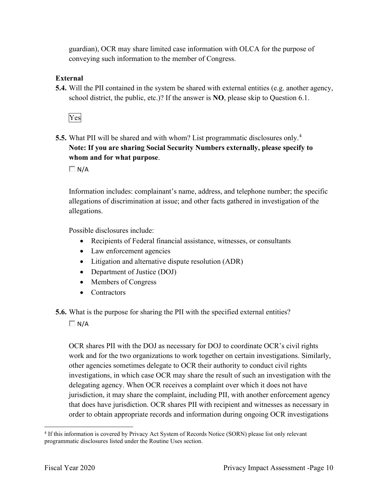guardian), OCR may share limited case information with OLCA for the purpose of conveying such information to the member of Congress.

### **External**

**5.4.** Will the PII contained in the system be shared with external entities (e.g. another agency, school district, the public, etc.)? If the answer is **NO**, please skip to Question 6.1.

Yes

 **5.5.** What PII will be shared and with whom? List programmatic disclosures only. 4  **Note: If you are sharing Social Security Numbers externally, please specify to whom and for what purpose**.

 $\Box$  N/A

Information includes: complainant's name, address, and telephone number; the specific allegations of discrimination at issue; and other facts gathered in investigation of the allegations.

Possible disclosures include:

- Recipients of Federal financial assistance, witnesses, or consultants
- Law enforcement agencies
- Litigation and alternative dispute resolution (ADR)
- Department of Justice (DOJ)
- Members of Congress
- Contractors
- **5.6.** What is the purpose for sharing the PII with the specified external entities?

 $\Box$  N/A

OCR shares PII with the DOJ as necessary for DOJ to coordinate OCR's civil rights work and for the two organizations to work together on certain investigations. Similarly, other agencies sometimes delegate to OCR their authority to conduct civil rights investigations, in which case OCR may share the result of such an investigation with the delegating agency. When OCR receives a complaint over which it does not have jurisdiction, it may share the complaint, including PII, with another enforcement agency that does have jurisdiction. OCR shares PII with recipient and witnesses as necessary in order to obtain appropriate records and information during ongoing OCR investigations

<sup>&</sup>lt;sup>4</sup> If this information is covered by Privacy Act System of Records Notice (SORN) please list only relevant programmatic disclosures listed under the Routine Uses section.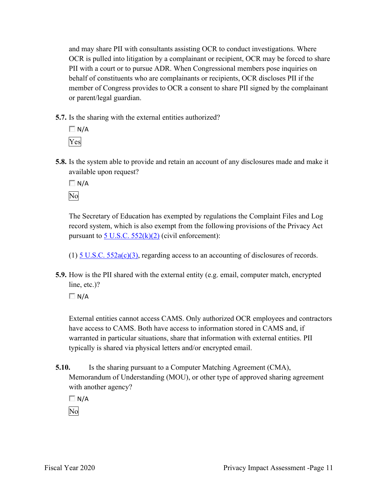and may share PII with consultants assisting OCR to conduct investigations. Where OCR is pulled into litigation by a complainant or recipient, OCR may be forced to share PII with a court or to pursue ADR. When Congressional members pose inquiries on behalf of constituents who are complainants or recipients, OCR discloses PII if the member of Congress provides to OCR a consent to share PII signed by the complainant or parent/legal guardian.

**5.7.** Is the sharing with the external entities authorized?



**5.8.** Is the system able to provide and retain an account of any disclosures made and make it available upon request?

 $\Box$  N/A No

The Secretary of Education has exempted by regulations the Complaint Files and Log record system, which is also exempt from the following provisions of the Privacy Act pursuant to  $5$  U.S.C.  $552(k)(2)$  (civil enforcement):

(1)  $5 \text{ U.S.C. } 552 \text{a(c)}(3)$ , regarding access to an accounting of disclosures of records.

**5.9.** How is the PII shared with the external entity (e.g. email, computer match, encrypted line, etc.)?

 $\Box$  N/A

External entities cannot access CAMS. Only authorized OCR employees and contractors have access to CAMS. Both have access to information stored in CAMS and, if warranted in particular situations, share that information with external entities. PII typically is shared via physical letters and/or encrypted email.

**5.10.** Is the sharing pursuant to a Computer Matching Agreement (CMA), Memorandum of Understanding (MOU), or other type of approved sharing agreement with another agency?

 $\Box$  N/A

No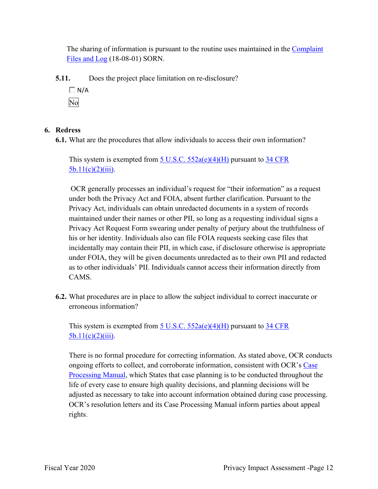The sharing of information is pursuant to the routine uses maintained in the Complaint Files and Log (18-08-01) SORN.

**5.11.** Does the project place limitation on re-disclosure?

 $\Box N/A$ No

### **6. Redress**

**6.1.** What are the procedures that allow individuals to access their own information?

This system is exempted from  $\underline{5 \text{ U.S.C. } 552a(e)(4)(H)}$  pursuant to  $\underline{34 \text{ CFR}}$  $5b.11(c)(2)(iii)$ .

 under both the Privacy Act and FOIA, absent further clarification. Pursuant to the maintained under their names or other PII, so long as a requesting individual signs a incidentally may contain their PII, in which case, if disclosure otherwise is appropriate OCR generally processes an individual's request for "their information" as a request Privacy Act, individuals can obtain unredacted documents in a system of records Privacy Act Request Form swearing under penalty of perjury about the truthfulness of his or her identity. Individuals also can file FOIA requests seeking case files that under FOIA, they will be given documents unredacted as to their own PII and redacted as to other individuals' PII. Individuals cannot access their information directly from CAMS.

 **6.2.** What procedures are in place to allow the subject individual to correct inaccurate or erroneous information?

This system is exempted from  $\underline{5 \text{ U.S.C. } 552a(e)(4)(H)}$  pursuant to  $\underline{34 \text{ CFR}}$  $5b.11(c)(2)(iii)$ .

 There is no formal procedure for correcting information. As stated above, OCR conducts life of every case to ensure high quality decisions, and planning decisions will be OCR's resolution letters and its Case Processing Manual inform parties about appeal ongoing efforts to collect, and corroborate information, consistent with OCR's Case Processing Manual, which States that case planning is to be conducted throughout the adjusted as necessary to take into account information obtained during case processing. rights.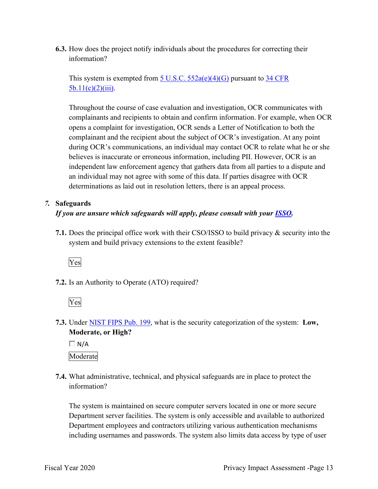**6.3.** How does the project notify individuals about the procedures for correcting their information?

This system is exempted from  $\underline{5 \text{ U.S.C. } 552a(e)(4)(G)}$  pursuant to  $\underline{34 \text{ CFR}}$  $5b.11(c)(2)(iii)$ .

 opens a complaint for investigation, OCR sends a Letter of Notification to both the independent law enforcement agency that gathers data from all parties to a dispute and determinations as laid out in resolution letters, there is an appeal process. Throughout the course of case evaluation and investigation, OCR communicates with complainants and recipients to obtain and confirm information. For example, when OCR complainant and the recipient about the subject of OCR's investigation. At any point during OCR's communications, an individual may contact OCR to relate what he or she believes is inaccurate or erroneous information, including PII. However, OCR is an an individual may not agree with some of this data. If parties disagree with OCR

### *7.* **Safeguards**

### *If you are unsure which safeguards will apply, please consult with your ISSO.*

 **7.1.** Does the principal office work with their CSO/ISSO to build privacy & security into the system and build privacy extensions to the extent feasible?



**7.2.** Is an Authority to Operate (ATO) required?



 **7.3.** Under NIST FIPS Pub. 199, what is the security categorization of the system: **Low, Moderate, or High?** 

 $\Box$  N/A Moderate

 **7.4.** What administrative, technical, and physical safeguards are in place to protect the information?

 The system is maintained on secure computer servers located in one or more secure Department server facilities. The system is only accessible and available to authorized including usernames and passwords. The system also limits data access by type of user Department employees and contractors utilizing various authentication mechanisms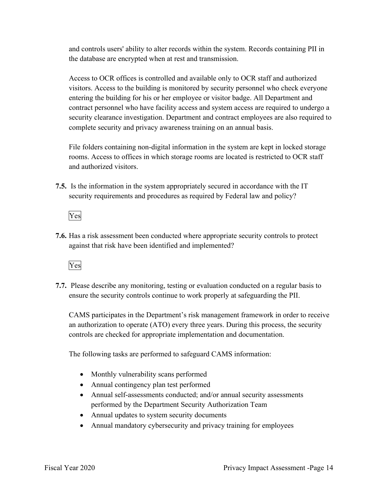and controls users' ability to alter records within the system. Records containing PII in the database are encrypted when at rest and transmission.

 entering the building for his or her employee or visitor badge. All Department and contract personnel who have facility access and system access are required to undergo a Access to OCR offices is controlled and available only to OCR staff and authorized visitors. Access to the building is monitored by security personnel who check everyone security clearance investigation. Department and contract employees are also required to complete security and privacy awareness training on an annual basis.

 rooms. Access to offices in which storage rooms are located is restricted to OCR staff File folders containing non-digital information in the system are kept in locked storage and authorized visitors.

**7.5.** Is the information in the system appropriately secured in accordance with the IT security requirements and procedures as required by Federal law and policy?

### Yes

**7.6.** Has a risk assessment been conducted where appropriate security controls to protect against that risk have been identified and implemented?

### Yes

 ensure the security controls continue to work properly at safeguarding the PII. **7.7.** Please describe any monitoring, testing or evaluation conducted on a regular basis to

 CAMS participates in the Department's risk management framework in order to receive an authorization to operate (ATO) every three years. During this process, the security controls are checked for appropriate implementation and documentation.

The following tasks are performed to safeguard CAMS information:

- Monthly vulnerability scans performed
- Annual contingency plan test performed
- Annual self-assessments conducted; and/or annual security assessments performed by the Department Security Authorization Team
- Annual updates to system security documents
- Annual mandatory cybersecurity and privacy training for employees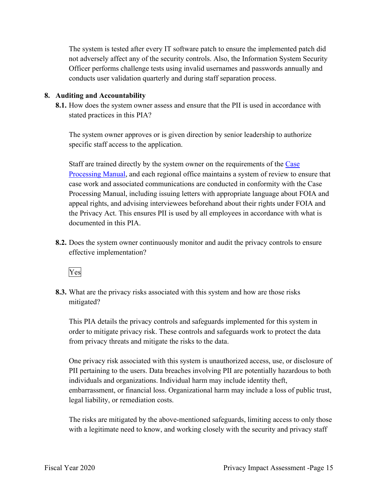The system is tested after every IT software patch to ensure the implemented patch did not adversely affect any of the security controls. Also, the Information System Security Officer performs challenge tests using invalid usernames and passwords annually and conducts user validation quarterly and during staff separation process.

### **8. Auditing and Accountability**

 **8.1.** How does the system owner assess and ensure that the PII is used in accordance with stated practices in this PIA?

The system owner approves or is given direction by senior leadership to authorize specific staff access to the application.

Staff are trained directly by the system owner on the requirements of the Case Processing Manual, and each regional office maintains a system of review to ensure that case work and associated communications are conducted in conformity with the Case Processing Manual, including issuing letters with appropriate language about FOIA and appeal rights, and advising interviewees beforehand about their rights under FOIA and the Privacy Act. This ensures PII is used by all employees in accordance with what is documented in this PIA.

**8.2.** Does the system owner continuously monitor and audit the privacy controls to ensure effective implementation?

Yes

mitigated? **8.3.** What are the privacy risks associated with this system and how are those risks

mitigated?<br>This PIA details the privacy controls and safeguards implemented for this system in from privacy threats and mitigate the risks to the data. order to mitigate privacy risk. These controls and safeguards work to protect the data

 One privacy risk associated with this system is unauthorized access, use, or disclosure of PII pertaining to the users. Data breaches involving PII are potentially hazardous to both individuals and organizations. Individual harm may include identity theft, embarrassment, or financial loss. Organizational harm may include a loss of public trust, legal liability, or remediation costs.

The risks are mitigated by the above-mentioned safeguards, limiting access to only those with a legitimate need to know, and working closely with the security and privacy staff